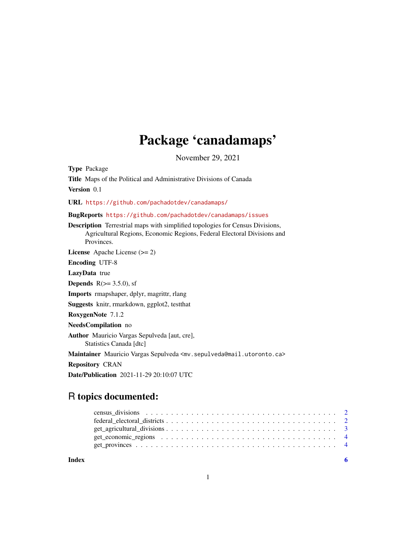## Package 'canadamaps'

November 29, 2021

Type Package

Title Maps of the Political and Administrative Divisions of Canada Version 0.1 URL <https://github.com/pachadotdev/canadamaps/> BugReports <https://github.com/pachadotdev/canadamaps/issues> Description Terrestrial maps with simplified topologies for Census Divisions, Agricultural Regions, Economic Regions, Federal Electoral Divisions and Provinces. License Apache License (>= 2) Encoding UTF-8 LazyData true **Depends**  $R$ ( $>=$  3.5.0), sf Imports rmapshaper, dplyr, magrittr, rlang Suggests knitr, rmarkdown, ggplot2, testthat RoxygenNote 7.1.2 NeedsCompilation no Author Mauricio Vargas Sepulveda [aut, cre], Statistics Canada [dtc] Maintainer Mauricio Vargas Sepulveda <mv.sepulveda@mail.utoronto.ca> Repository CRAN Date/Publication 2021-11-29 20:10:07 UTC

## R topics documented:

**Index** [6](#page-5-0) **6**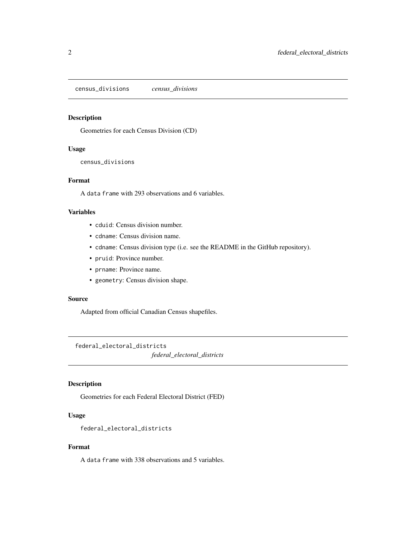<span id="page-1-0"></span>census\_divisions *census\_divisions*

## Description

Geometries for each Census Division (CD)

## Usage

census\_divisions

## Format

A data frame with 293 observations and 6 variables.

## Variables

- cduid: Census division number.
- cdname: Census division name.
- cdname: Census division type (i.e. see the README in the GitHub repository).
- pruid: Province number.
- prname: Province name.
- geometry: Census division shape.

## Source

Adapted from official Canadian Census shapefiles.

federal\_electoral\_districts

*federal\_electoral\_districts*

## Description

Geometries for each Federal Electoral District (FED)

## Usage

federal\_electoral\_districts

## Format

A data frame with 338 observations and 5 variables.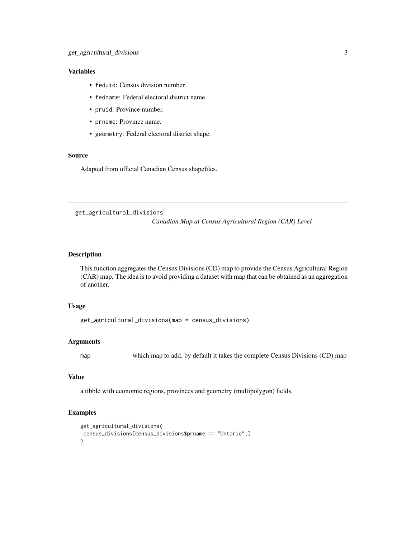## <span id="page-2-0"></span>Variables

- feduid: Census division number.
- fedname: Federal electoral district name.
- pruid: Province number.
- prname: Province name.
- geometry: Federal electoral district shape.

## Source

Adapted from official Canadian Census shapefiles.

get\_agricultural\_divisions

*Canadian Map at Census Agricultural Region (CAR) Level*

## Description

This function aggregates the Census Divisions (CD) map to provide the Census Agricultural Region (CAR) map. The idea is to avoid providing a dataset with map that can be obtained as an aggregation of another.

## Usage

```
get_agricultural_divisions(map = census_divisions)
```
## Arguments

map which map to add, by default it takes the complete Census Divisions (CD) map

## Value

a tibble with economic regions, provinces and geometry (multipolygon) fields.

## Examples

```
get_agricultural_divisions(
census_divisions[census_divisions$prname == "Ontario",]
\mathcal{L}
```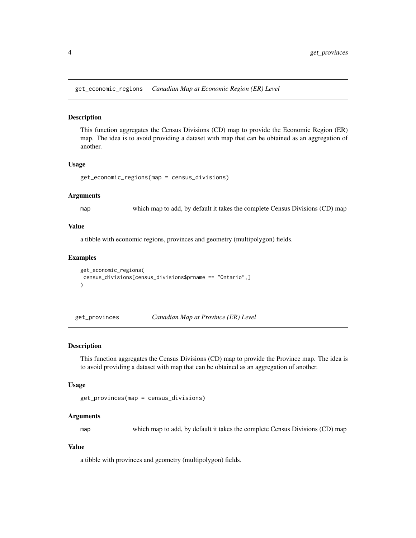<span id="page-3-0"></span>get\_economic\_regions *Canadian Map at Economic Region (ER) Level*

#### Description

This function aggregates the Census Divisions (CD) map to provide the Economic Region (ER) map. The idea is to avoid providing a dataset with map that can be obtained as an aggregation of another.

## Usage

```
get_economic_regions(map = census_divisions)
```
## Arguments

map which map to add, by default it takes the complete Census Divisions (CD) map

## Value

a tibble with economic regions, provinces and geometry (multipolygon) fields.

## Examples

```
get_economic_regions(
census_divisions[census_divisions$prname == "Ontario",]
)
```
get\_provinces *Canadian Map at Province (ER) Level*

## Description

This function aggregates the Census Divisions (CD) map to provide the Province map. The idea is to avoid providing a dataset with map that can be obtained as an aggregation of another.

## Usage

```
get_provinces(map = census_divisions)
```
## Arguments

map which map to add, by default it takes the complete Census Divisions (CD) map

## Value

a tibble with provinces and geometry (multipolygon) fields.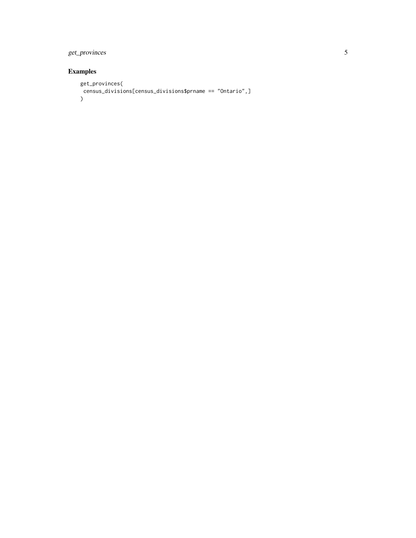## get\_provinces 5

## Examples

```
get_provinces(
census_divisions[census_divisions$prname == "Ontario",]
\overline{)}
```